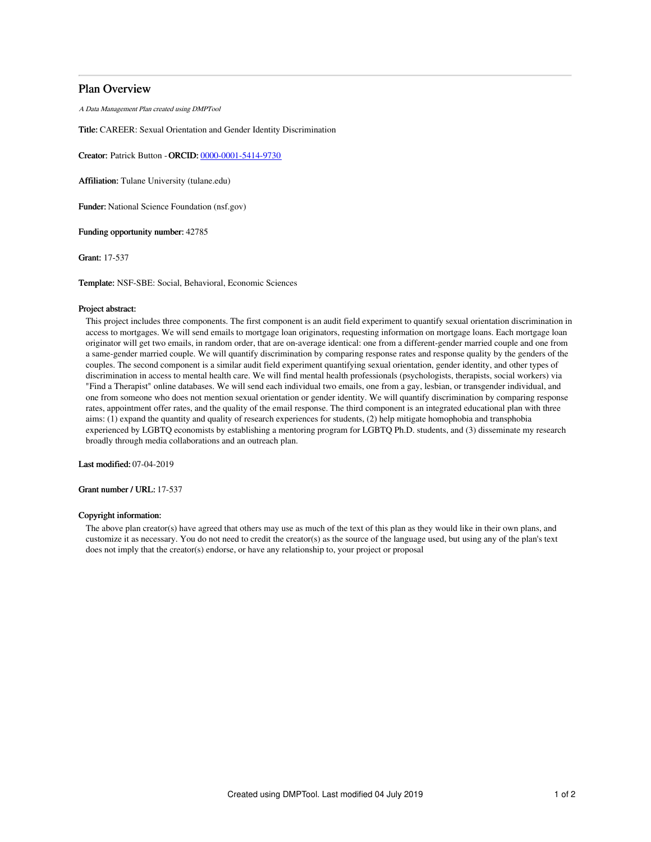# Plan Overview

A Data Management Plan created using DMPTool

Title: CAREER: Sexual Orientation and Gender Identity Discrimination

Creator: Patrick Button -ORCID: [0000-0001-5414-9730](https://orcid.org/0000-0001-5414-9730)

Affiliation: Tulane University (tulane.edu)

Funder: National Science Foundation (nsf.gov)

Funding opportunity number: 42785

Grant: 17-537

Template: NSF-SBE: Social, Behavioral, Economic Sciences

#### Project abstract:

This project includes three components. The first component is an audit field experiment to quantify sexual orientation discrimination in access to mortgages. We will send emails to mortgage loan originators, requesting information on mortgage loans. Each mortgage loan originator will get two emails, in random order, that are on-average identical: one from a different-gender married couple and one from a same-gender married couple. We will quantify discrimination by comparing response rates and response quality by the genders of the couples. The second component is a similar audit field experiment quantifying sexual orientation, gender identity, and other types of discrimination in access to mental health care. We will find mental health professionals (psychologists, therapists, social workers) via "Find a Therapist" online databases. We will send each individual two emails, one from a gay, lesbian, or transgender individual, and one from someone who does not mention sexual orientation or gender identity. We will quantify discrimination by comparing response rates, appointment offer rates, and the quality of the email response. The third component is an integrated educational plan with three aims: (1) expand the quantity and quality of research experiences for students, (2) help mitigate homophobia and transphobia experienced by LGBTQ economists by establishing a mentoring program for LGBTQ Ph.D. students, and (3) disseminate my research broadly through media collaborations and an outreach plan.

Last modified: 07-04-2019

Grant number / URL: 17-537

## Copyright information:

The above plan creator(s) have agreed that others may use as much of the text of this plan as they would like in their own plans, and customize it as necessary. You do not need to credit the creator(s) as the source of the language used, but using any of the plan's text does not imply that the creator(s) endorse, or have any relationship to, your project or proposal